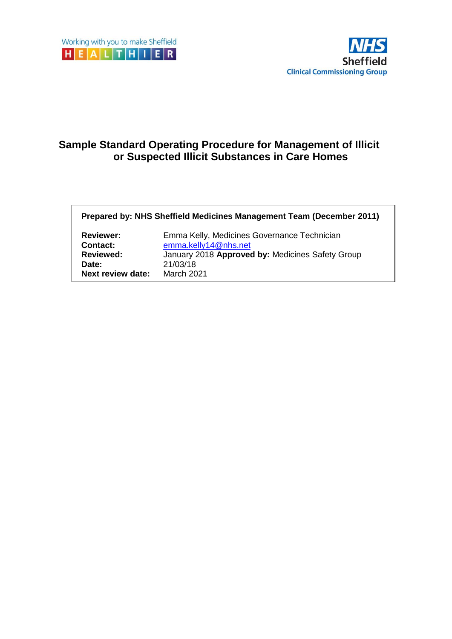

# **Sample Standard Operating Procedure for Management of Illicit or Suspected Illicit Substances in Care Homes**

**Prepared by: NHS Sheffield Medicines Management Team (December 2011)**

| <b>Reviewer:</b>         | Emma Kelly, Medicines Governance Technician      |
|--------------------------|--------------------------------------------------|
| <b>Contact:</b>          | emma.kelly14@nhs.net                             |
| <b>Reviewed:</b>         | January 2018 Approved by: Medicines Safety Group |
| Date:                    | 21/03/18                                         |
| <b>Next review date:</b> | <b>March 2021</b>                                |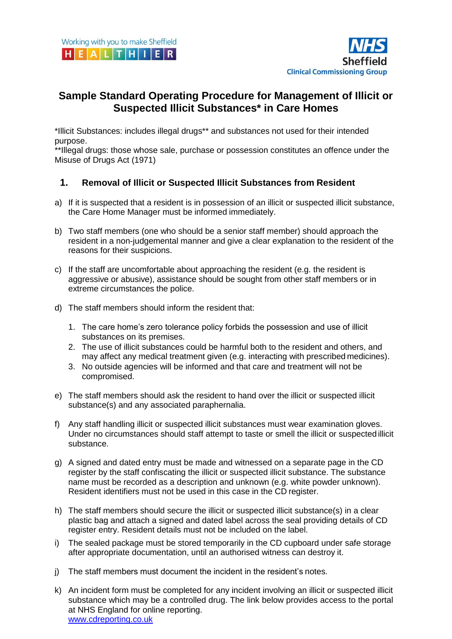

## **Sample Standard Operating Procedure for Management of Illicit or Suspected Illicit Substances\* in Care Homes**

\*Illicit Substances: includes illegal drugs\*\* and substances not used for their intended purpose.

\*\*Illegal drugs: those whose sale, purchase or possession constitutes an offence under the Misuse of Drugs Act (1971)

### **1. Removal of Illicit or Suspected Illicit Substances from Resident**

- a) If it is suspected that a resident is in possession of an illicit or suspected illicit substance, the Care Home Manager must be informed immediately.
- b) Two staff members (one who should be a senior staff member) should approach the resident in a non-judgemental manner and give a clear explanation to the resident of the reasons for their suspicions.
- c) If the staff are uncomfortable about approaching the resident (e.g. the resident is aggressive or abusive), assistance should be sought from other staff members or in extreme circumstances the police.
- d) The staff members should inform the resident that:
	- 1. The care home's zero tolerance policy forbids the possession and use of illicit substances on its premises.
	- 2. The use of illicit substances could be harmful both to the resident and others, and may affect any medical treatment given (e.g. interacting with prescribed medicines).
	- 3. No outside agencies will be informed and that care and treatment will not be compromised.
- e) The staff members should ask the resident to hand over the illicit or suspected illicit substance(s) and any associated paraphernalia.
- f) Any staff handling illicit or suspected illicit substances must wear examination gloves. Under no circumstances should staff attempt to taste or smell the illicit or suspected illicit substance.
- g) A signed and dated entry must be made and witnessed on a separate page in the CD register by the staff confiscating the illicit or suspected illicit substance. The substance name must be recorded as a description and unknown (e.g. white powder unknown). Resident identifiers must not be used in this case in the CD register.
- h) The staff members should secure the illicit or suspected illicit substance(s) in a clear plastic bag and attach a signed and dated label across the seal providing details of CD register entry. Resident details must not be included on the label.
- i) The sealed package must be stored temporarily in the CD cupboard under safe storage after appropriate documentation, until an authorised witness can destroy it.
- j) The staff members must document the incident in the resident's notes.
- k) An incident form must be completed for any incident involving an illicit or suspected illicit substance which may be a controlled drug. The link below provides access to the portal at NHS England for online reporting. [www.cdreporting.co.uk](http://www.cdreporting.co.uk/)